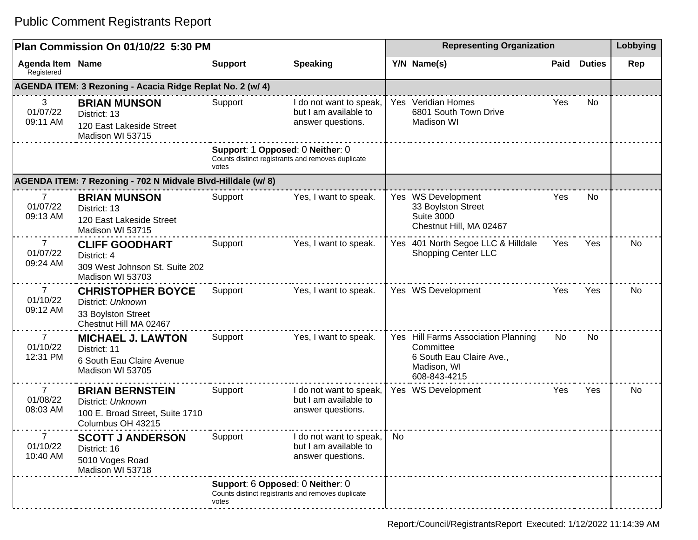|                                        | Plan Commission On 01/10/22 5:30 PM                                                                 |                                           |                                                                       |    | <b>Representing Organization</b>                                                                            |      |               |     |  |
|----------------------------------------|-----------------------------------------------------------------------------------------------------|-------------------------------------------|-----------------------------------------------------------------------|----|-------------------------------------------------------------------------------------------------------------|------|---------------|-----|--|
| <b>Agenda Item Name</b><br>Registered  |                                                                                                     | <b>Support</b>                            | <b>Speaking</b>                                                       |    | Y/N Name(s)                                                                                                 | Paid | <b>Duties</b> | Rep |  |
|                                        | AGENDA ITEM: 3 Rezoning - Acacia Ridge Replat No. 2 (w/ 4)                                          |                                           |                                                                       |    |                                                                                                             |      |               |     |  |
| 3<br>01/07/22<br>09:11 AM              | <b>BRIAN MUNSON</b><br>District: 13<br>120 East Lakeside Street<br>Madison WI 53715                 | Support                                   | I do not want to speak,<br>but I am available to<br>answer questions. |    | Yes Veridian Homes<br>6801 South Town Drive<br><b>Madison WI</b>                                            | Yes  | No            |     |  |
|                                        |                                                                                                     | Support: 1 Opposed: 0 Neither: 0<br>votes | Counts distinct registrants and removes duplicate                     |    |                                                                                                             |      |               |     |  |
|                                        | AGENDA ITEM: 7 Rezoning - 702 N Midvale Blvd-Hilldale (w/ 8)                                        |                                           |                                                                       |    |                                                                                                             |      |               |     |  |
| 7<br>01/07/22<br>09:13 AM              | <b>BRIAN MUNSON</b><br>District: 13<br>120 East Lakeside Street<br>Madison WI 53715                 | Support                                   | Yes, I want to speak.                                                 |    | Yes WS Development<br>33 Boylston Street<br><b>Suite 3000</b><br>Chestnut Hill, MA 02467                    | Yes  | No            |     |  |
| $\overline{7}$<br>01/07/22<br>09:24 AM | <b>CLIFF GOODHART</b><br>District: 4<br>309 West Johnson St. Suite 202<br>Madison WI 53703          | Support                                   | Yes, I want to speak.                                                 |    | Yes 401 North Segoe LLC & Hilldale<br><b>Shopping Center LLC</b>                                            | Yes  | Yes           | No  |  |
| $\overline{7}$<br>01/10/22<br>09:12 AM | <b>CHRISTOPHER BOYCE</b><br>District: Unknown<br>33 Boylston Street<br>Chestnut Hill MA 02467       | Support                                   | Yes, I want to speak.                                                 |    | Yes WS Development                                                                                          | Yes  | Yes           | No  |  |
| $\overline{7}$<br>01/10/22<br>12:31 PM | <b>MICHAEL J. LAWTON</b><br>District: 11<br>6 South Eau Claire Avenue<br>Madison WI 53705           | Support                                   | Yes, I want to speak.                                                 |    | Yes Hill Farms Association Planning<br>Committee<br>6 South Eau Claire Ave.,<br>Madison, WI<br>608-843-4215 | No.  | No            |     |  |
| $\overline{7}$<br>01/08/22<br>08:03 AM | <b>BRIAN BERNSTEIN</b><br>District: Unknown<br>100 E. Broad Street, Suite 1710<br>Columbus OH 43215 | Support                                   | I do not want to speak,<br>but I am available to<br>answer questions. |    | Yes WS Development                                                                                          | Yes  | Yes           | No  |  |
| 7<br>01/10/22<br>10:40 AM              | <b>SCOTT J ANDERSON</b><br>District: 16<br>5010 Voges Road<br>Madison WI 53718                      | Support                                   | I do not want to speak,<br>but I am available to<br>answer questions. | No |                                                                                                             |      |               |     |  |
|                                        |                                                                                                     | Support: 6 Opposed: 0 Neither: 0<br>votes | Counts distinct registrants and removes duplicate                     |    |                                                                                                             |      |               |     |  |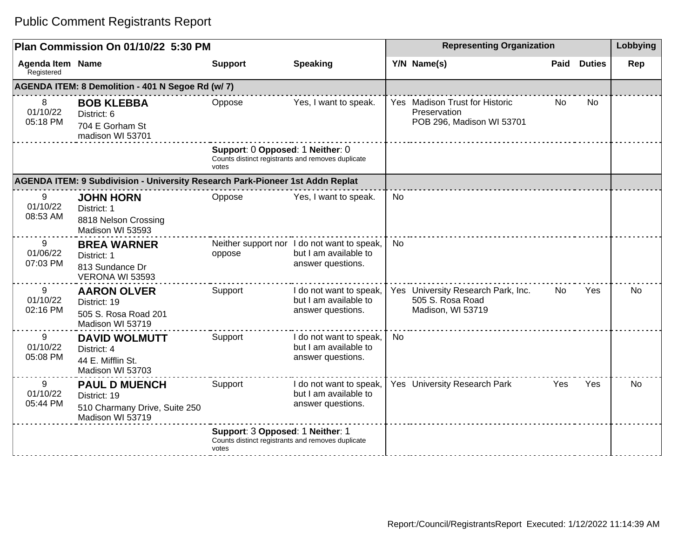| Plan Commission On 01/10/22 5:30 PM   |                                                                                           |                                                                                                |                                                                                           | <b>Representing Organization</b> |                                                                             |            |               | Lobbying  |
|---------------------------------------|-------------------------------------------------------------------------------------------|------------------------------------------------------------------------------------------------|-------------------------------------------------------------------------------------------|----------------------------------|-----------------------------------------------------------------------------|------------|---------------|-----------|
| <b>Agenda Item Name</b><br>Registered |                                                                                           | <b>Support</b>                                                                                 | <b>Speaking</b>                                                                           |                                  | Y/N Name(s)                                                                 | Paid       | <b>Duties</b> | Rep       |
|                                       | AGENDA ITEM: 8 Demolition - 401 N Segoe Rd (w/7)                                          |                                                                                                |                                                                                           |                                  |                                                                             |            |               |           |
| 8<br>01/10/22<br>05:18 PM             | <b>BOB KLEBBA</b><br>District: 6<br>704 E Gorham St<br>madison WI 53701                   | Oppose                                                                                         | Yes, I want to speak.                                                                     |                                  | Yes Madison Trust for Historic<br>Preservation<br>POB 296, Madison WI 53701 | No.        | <b>No</b>     |           |
|                                       |                                                                                           | Support: 0 Opposed: 1 Neither: 0<br>Counts distinct registrants and removes duplicate<br>votes |                                                                                           |                                  |                                                                             |            |               |           |
|                                       | AGENDA ITEM: 9 Subdivision - University Research Park-Pioneer 1st Addn Replat             |                                                                                                |                                                                                           |                                  |                                                                             |            |               |           |
| 9<br>01/10/22<br>08:53 AM             | <b>JOHN HORN</b><br>District: 1<br>8818 Nelson Crossing<br>Madison WI 53593               | Oppose                                                                                         | Yes, I want to speak.                                                                     | <b>No</b>                        |                                                                             |            |               |           |
| 9<br>01/06/22<br>07:03 PM             | <b>BREA WARNER</b><br>District: 1<br>813 Sundance Dr<br>VERONA WI 53593                   | oppose                                                                                         | Neither support nor I do not want to speak,<br>but I am available to<br>answer questions. | <b>No</b>                        |                                                                             |            |               |           |
| 9<br>01/10/22<br>02:16 PM             | <b>AARON OLVER</b><br>District: 19<br>505 S. Rosa Road 201<br>Madison WI 53719            | Support                                                                                        | I do not want to speak,<br>but I am available to<br>answer questions.                     |                                  | Yes University Research Park, Inc.<br>505 S. Rosa Road<br>Madison, WI 53719 | No.        | Yes           | No        |
| 9<br>01/10/22<br>05:08 PM             | <b>DAVID WOLMUTT</b><br>District: 4<br>44 E. Mifflin St.<br>Madison WI 53703              | Support                                                                                        | I do not want to speak,<br>but I am available to<br>answer questions.                     | No                               |                                                                             |            |               |           |
| 9<br>01/10/22<br>05:44 PM             | <b>PAUL D MUENCH</b><br>District: 19<br>510 Charmany Drive, Suite 250<br>Madison WI 53719 | Support                                                                                        | I do not want to speak,<br>but I am available to<br>answer questions.                     |                                  | Yes University Research Park                                                | <b>Yes</b> | Yes           | <b>No</b> |
|                                       |                                                                                           | Support: 3 Opposed: 1 Neither: 1<br>Counts distinct registrants and removes duplicate<br>votes |                                                                                           |                                  |                                                                             |            |               |           |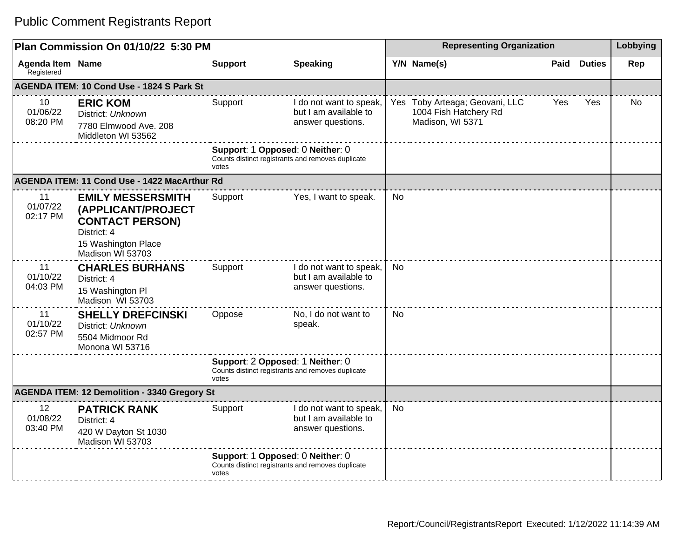|                                                     | Plan Commission On 01/10/22 5:30 PM                                                                                                |                |                                                                                       |           | <b>Representing Organization</b>                                            |      |               |     |
|-----------------------------------------------------|------------------------------------------------------------------------------------------------------------------------------------|----------------|---------------------------------------------------------------------------------------|-----------|-----------------------------------------------------------------------------|------|---------------|-----|
| <b>Agenda Item Name</b><br>Registered               |                                                                                                                                    | <b>Support</b> | <b>Speaking</b>                                                                       |           | Y/N Name(s)                                                                 | Paid | <b>Duties</b> | Rep |
|                                                     | AGENDA ITEM: 10 Cond Use - 1824 S Park St                                                                                          |                |                                                                                       |           |                                                                             |      |               |     |
| 10<br>01/06/22<br>08:20 PM                          | <b>ERIC KOM</b><br>District: Unknown<br>7780 Elmwood Ave. 208<br>Middleton WI 53562                                                | Support        | I do not want to speak,<br>but I am available to<br>answer questions.                 |           | Yes Toby Arteaga; Geovani, LLC<br>1004 Fish Hatchery Rd<br>Madison, WI 5371 | Yes  | Yes           | No  |
|                                                     |                                                                                                                                    | votes          | Support: 1 Opposed: 0 Neither: 0<br>Counts distinct registrants and removes duplicate |           |                                                                             |      |               |     |
|                                                     | AGENDA ITEM: 11 Cond Use - 1422 MacArthur Rd                                                                                       |                |                                                                                       |           |                                                                             |      |               |     |
| 11<br>01/07/22<br>02:17 PM                          | <b>EMILY MESSERSMITH</b><br>(APPLICANT/PROJECT<br><b>CONTACT PERSON)</b><br>District: 4<br>15 Washington Place<br>Madison WI 53703 | Support        | Yes, I want to speak.                                                                 | <b>No</b> |                                                                             |      |               |     |
| 11<br>01/10/22<br>04:03 PM                          | <b>CHARLES BURHANS</b><br>District: 4<br>15 Washington Pl<br>Madison WI 53703                                                      | Support        | I do not want to speak,<br>but I am available to<br>answer questions.                 | <b>No</b> |                                                                             |      |               |     |
| 11<br>01/10/22<br>02:57 PM                          | <b>SHELLY DREFCINSKI</b><br>District: Unknown<br>5504 Midmoor Rd<br>Monona WI 53716                                                | Oppose         | No, I do not want to<br>speak.                                                        | <b>No</b> |                                                                             |      |               |     |
|                                                     |                                                                                                                                    | votes          | Support: 2 Opposed: 1 Neither: 0<br>Counts distinct registrants and removes duplicate |           |                                                                             |      |               |     |
| <b>AGENDA ITEM: 12 Demolition - 3340 Gregory St</b> |                                                                                                                                    |                |                                                                                       |           |                                                                             |      |               |     |
| 12<br>01/08/22<br>03:40 PM                          | <b>PATRICK RANK</b><br>District: 4<br>420 W Dayton St 1030<br>Madison WI 53703                                                     | Support        | I do not want to speak,<br>but I am available to<br>answer questions.                 | <b>No</b> |                                                                             |      |               |     |
|                                                     |                                                                                                                                    | votes          | Support: 1 Opposed: 0 Neither: 0<br>Counts distinct registrants and removes duplicate |           |                                                                             |      |               |     |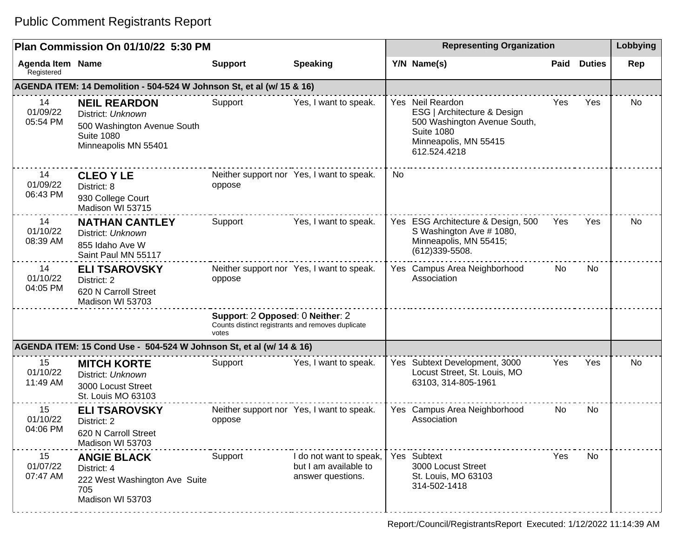| Plan Commission On 01/10/22 5:30 PM   |                                                                                                                      |                                                                                                |                                                                       |           | Lobbying                                                                                                                                      |      |               |     |
|---------------------------------------|----------------------------------------------------------------------------------------------------------------------|------------------------------------------------------------------------------------------------|-----------------------------------------------------------------------|-----------|-----------------------------------------------------------------------------------------------------------------------------------------------|------|---------------|-----|
| <b>Agenda Item Name</b><br>Registered |                                                                                                                      | <b>Support</b>                                                                                 | <b>Speaking</b>                                                       |           | Y/N Name(s)                                                                                                                                   | Paid | <b>Duties</b> | Rep |
|                                       | AGENDA ITEM: 14 Demolition - 504-524 W Johnson St, et al (w/ 15 & 16)                                                |                                                                                                |                                                                       |           |                                                                                                                                               |      |               |     |
| 14<br>01/09/22<br>05:54 PM            | <b>NEIL REARDON</b><br>District: Unknown<br>500 Washington Avenue South<br><b>Suite 1080</b><br>Minneapolis MN 55401 | Support                                                                                        | Yes, I want to speak.                                                 |           | Yes Neil Reardon<br>ESG   Architecture & Design<br>500 Washington Avenue South,<br><b>Suite 1080</b><br>Minneapolis, MN 55415<br>612.524.4218 | Yes  | Yes           | No  |
| 14<br>01/09/22<br>06:43 PM            | <b>CLEO Y LE</b><br>District: 8<br>930 College Court<br>Madison WI 53715                                             | oppose                                                                                         | Neither support nor Yes, I want to speak.                             | <b>No</b> |                                                                                                                                               |      |               |     |
| 14<br>01/10/22<br>08:39 AM            | <b>NATHAN CANTLEY</b><br>District: Unknown<br>855 Idaho Ave W<br>Saint Paul MN 55117                                 | Support                                                                                        | Yes, I want to speak.                                                 |           | Yes ESG Architecture & Design, 500<br>S Washington Ave # 1080,<br>Minneapolis, MN 55415;<br>$(612)339 - 5508.$                                | Yes  | Yes           | No  |
| 14<br>01/10/22<br>04:05 PM            | <b>ELI TSAROVSKY</b><br>District: 2<br>620 N Carroll Street<br>Madison WI 53703                                      | oppose                                                                                         | Neither support nor Yes, I want to speak.                             |           | Yes Campus Area Neighborhood<br>Association                                                                                                   | No   | No            |     |
|                                       |                                                                                                                      | Support: 2 Opposed: 0 Neither: 2<br>Counts distinct registrants and removes duplicate<br>votes |                                                                       |           |                                                                                                                                               |      |               |     |
|                                       | AGENDA ITEM: 15 Cond Use - 504-524 W Johnson St, et al (w/ 14 & 16)                                                  |                                                                                                |                                                                       |           |                                                                                                                                               |      |               |     |
| 15<br>01/10/22<br>11:49 AM            | <b>MITCH KORTE</b><br>District: Unknown<br>3000 Locust Street<br>St. Louis MO 63103                                  | Support                                                                                        | Yes, I want to speak.                                                 |           | Yes Subtext Development, 3000<br>Locust Street, St. Louis, MO<br>63103, 314-805-1961                                                          | Yes  | Yes           | No. |
| 15<br>01/10/22<br>04:06 PM            | <b>ELI TSAROVSKY</b><br>District: 2<br>620 N Carroll Street<br>Madison WI 53703                                      | oppose                                                                                         | Neither support nor Yes, I want to speak.                             |           | Yes Campus Area Neighborhood<br>Association                                                                                                   | No   | <b>No</b>     |     |
| 15<br>01/07/22<br>07:47 AM            | <b>ANGIE BLACK</b><br>District: 4<br>222 West Washington Ave Suite<br>705<br>Madison WI 53703                        | Support                                                                                        | I do not want to speak,<br>but I am available to<br>answer questions. |           | Yes Subtext<br>3000 Locust Street<br>St. Louis, MO 63103<br>314-502-1418                                                                      | Yes  | No            |     |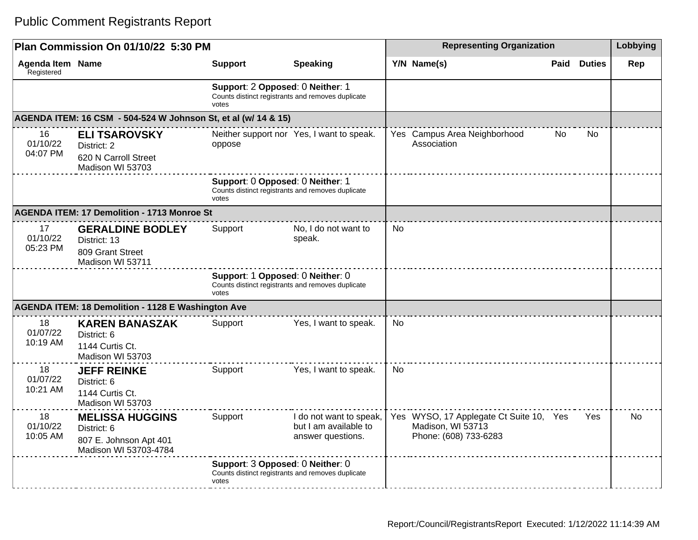|                                       | Plan Commission On 01/10/22 5:30 PM                                                      |                                           |                                                                       | <b>Representing Organization</b> |                                                                                       |      |               | Lobbying |
|---------------------------------------|------------------------------------------------------------------------------------------|-------------------------------------------|-----------------------------------------------------------------------|----------------------------------|---------------------------------------------------------------------------------------|------|---------------|----------|
| <b>Agenda Item Name</b><br>Registered |                                                                                          | <b>Support</b>                            | <b>Speaking</b>                                                       |                                  | Y/N Name(s)                                                                           | Paid | <b>Duties</b> | Rep      |
|                                       |                                                                                          | Support: 2 Opposed: 0 Neither: 1<br>votes | Counts distinct registrants and removes duplicate                     |                                  |                                                                                       |      |               |          |
|                                       | AGENDA ITEM: 16 CSM - 504-524 W Johnson St, et al (w/ 14 & 15)                           |                                           |                                                                       |                                  |                                                                                       |      |               |          |
| 16<br>01/10/22<br>04:07 PM            | <b>ELI TSAROVSKY</b><br>District: 2<br>620 N Carroll Street<br>Madison WI 53703          | oppose                                    | Neither support nor Yes, I want to speak.                             |                                  | Yes Campus Area Neighborhood<br>Association                                           | No   | No            |          |
|                                       |                                                                                          | Support: 0 Opposed: 0 Neither: 1<br>votes | Counts distinct registrants and removes duplicate                     |                                  |                                                                                       |      |               |          |
|                                       | <b>AGENDA ITEM: 17 Demolition - 1713 Monroe St</b>                                       |                                           |                                                                       |                                  |                                                                                       |      |               |          |
| 17<br>01/10/22<br>05:23 PM            | <b>GERALDINE BODLEY</b><br>District: 13<br>809 Grant Street<br>Madison WI 53711          | Support                                   | No, I do not want to<br>speak.                                        | <b>No</b>                        |                                                                                       |      |               |          |
|                                       |                                                                                          | Support: 1 Opposed: 0 Neither: 0<br>votes | Counts distinct registrants and removes duplicate                     |                                  |                                                                                       |      |               |          |
|                                       | <b>AGENDA ITEM: 18 Demolition - 1128 E Washington Ave</b>                                |                                           |                                                                       |                                  |                                                                                       |      |               |          |
| 18<br>01/07/22<br>10:19 AM            | <b>KAREN BANASZAK</b><br>District: 6<br>1144 Curtis Ct.<br>Madison WI 53703              | Support                                   | Yes, I want to speak.                                                 | <b>No</b>                        |                                                                                       |      |               |          |
| 18<br>01/07/22<br>10:21 AM            | <b>JEFF REINKE</b><br>District: 6<br>1144 Curtis Ct.<br>Madison WI 53703                 | Support                                   | Yes, I want to speak.                                                 | <b>No</b>                        |                                                                                       |      |               |          |
| 18<br>01/10/22<br>10:05 AM            | <b>MELISSA HUGGINS</b><br>District: 6<br>807 E. Johnson Apt 401<br>Madison WI 53703-4784 | Support                                   | I do not want to speak,<br>but I am available to<br>answer questions. |                                  | Yes WYSO, 17 Applegate Ct Suite 10, Yes<br>Madison, WI 53713<br>Phone: (608) 733-6283 |      | Yes           | No.      |
|                                       |                                                                                          | Support: 3 Opposed: 0 Neither: 0<br>votes | Counts distinct registrants and removes duplicate                     |                                  |                                                                                       |      |               |          |